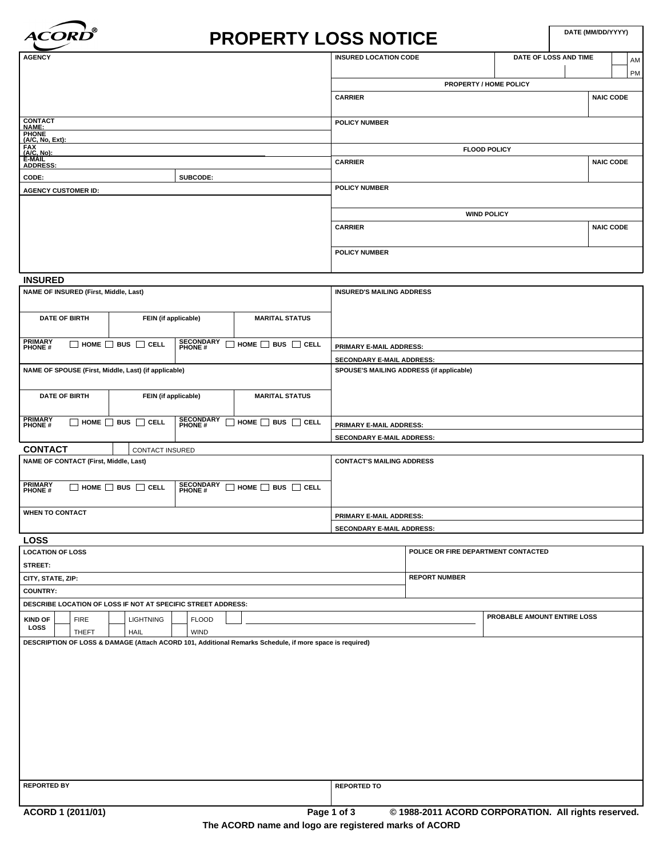

# **PROPERTY LOSS NOTICE**

| <b>AGENCY</b>                                  |          | <b>INSURED LOCATION CODE</b> | DATE OF LOSS AND TIME         | AM               |  |  |  |  |
|------------------------------------------------|----------|------------------------------|-------------------------------|------------------|--|--|--|--|
|                                                |          |                              |                               | <b>PM</b>        |  |  |  |  |
|                                                |          |                              | <b>PROPERTY / HOME POLICY</b> |                  |  |  |  |  |
|                                                |          | <b>CARRIER</b>               |                               | <b>NAIC CODE</b> |  |  |  |  |
|                                                |          |                              |                               |                  |  |  |  |  |
| CONTACT<br>NAME:                               |          | <b>POLICY NUMBER</b>         |                               |                  |  |  |  |  |
| PHONE<br>(A/C, No, Ext):                       |          |                              |                               |                  |  |  |  |  |
|                                                |          |                              | <b>FLOOD POLICY</b>           |                  |  |  |  |  |
| FAX<br>FAX<br>(A/C, No):<br>E-MAIL<br>ADDRESS: |          | <b>CARRIER</b>               |                               | <b>NAIC CODE</b> |  |  |  |  |
| CODE:                                          | SUBCODE: |                              |                               |                  |  |  |  |  |
| <b>AGENCY CUSTOMER ID:</b>                     |          | POLICY NUMBER                |                               |                  |  |  |  |  |
|                                                |          |                              |                               |                  |  |  |  |  |
|                                                |          |                              | <b>WIND POLICY</b>            |                  |  |  |  |  |
|                                                |          | <b>CARRIER</b>               |                               | <b>NAIC CODE</b> |  |  |  |  |
|                                                |          |                              |                               |                  |  |  |  |  |
|                                                |          | <b>POLICY NUMBER</b>         |                               |                  |  |  |  |  |
|                                                |          |                              |                               |                  |  |  |  |  |

## **INSURED**

| NAME OF INSURED (First, Middle, Last)                                                                                               |                             |                             |                                    | <b>INSURED'S MAILING ADDRESS</b>         |
|-------------------------------------------------------------------------------------------------------------------------------------|-----------------------------|-----------------------------|------------------------------------|------------------------------------------|
| <b>DATE OF BIRTH</b>                                                                                                                | FEIN (if applicable)        |                             | <b>MARITAL STATUS</b>              |                                          |
| <b>PRIMARY</b><br><b>PHONE#</b>                                                                                                     | HOME $\Box$ BUS $\Box$ CELL | <b>SECONDARY</b><br>PHONE # | $\Box$ HOME $\Box$ BUS $\Box$ CELL | <b>PRIMARY E-MAIL ADDRESS:</b>           |
|                                                                                                                                     |                             |                             |                                    | <b>SECONDARY E-MAIL ADDRESS:</b>         |
| NAME OF SPOUSE (First, Middle, Last) (if applicable)                                                                                |                             |                             |                                    | SPOUSE'S MAILING ADDRESS (if applicable) |
| <b>DATE OF BIRTH</b>                                                                                                                | FEIN (if applicable)        |                             | <b>MARITAL STATUS</b>              |                                          |
| <b>PRIMARY</b><br><b>SECONDARY</b><br>PHONE #<br>HOME $\Box$ BUS $\Box$ CELL<br>$\Box$ HOME $\Box$ BUS $\Box$ CELL<br><b>PHONE#</b> |                             |                             |                                    | <b>PRIMARY E-MAIL ADDRESS:</b>           |
|                                                                                                                                     |                             |                             |                                    | <b>SECONDARY E-MAIL ADDRESS:</b>         |
| <b>CONTACT</b>                                                                                                                      | <b>CONTACT INSURED</b>      |                             |                                    |                                          |
| NAME OF CONTACT (First, Middle, Last)                                                                                               |                             |                             |                                    | <b>CONTACT'S MAILING ADDRESS</b>         |
| <b>PRIMARY</b><br><b>SECONDARY</b><br>PHONE #<br>$\Box$ HOME $\Box$ BUS $\Box$ CELL<br>HOME $\Box$ BUS $\Box$ CELL<br><b>PHONE#</b> |                             |                             |                                    |                                          |
| <b>WHEN TO CONTACT</b>                                                                                                              |                             |                             |                                    | PRIMARY E-MAIL ADDRESS:                  |
|                                                                                                                                     |                             |                             |                                    | SECONDARY E-MAIL ADDRESS:                |
| <b>LOSS</b>                                                                                                                         |                             |                             |                                    |                                          |

| <b>LOCATION OF LOSS</b>                                      |                                                                                                         |                   |  |                  |  |              |  |  |                    | POLICE OR FIRE DEPARTMENT CONTACTED                 |                             |  |  |
|--------------------------------------------------------------|---------------------------------------------------------------------------------------------------------|-------------------|--|------------------|--|--------------|--|--|--------------------|-----------------------------------------------------|-----------------------------|--|--|
| STREET:                                                      |                                                                                                         |                   |  |                  |  |              |  |  |                    |                                                     |                             |  |  |
| CITY, STATE, ZIP:                                            |                                                                                                         |                   |  |                  |  |              |  |  |                    | <b>REPORT NUMBER</b>                                |                             |  |  |
| <b>COUNTRY:</b>                                              |                                                                                                         |                   |  |                  |  |              |  |  |                    |                                                     |                             |  |  |
| DESCRIBE LOCATION OF LOSS IF NOT AT SPECIFIC STREET ADDRESS: |                                                                                                         |                   |  |                  |  |              |  |  |                    |                                                     |                             |  |  |
| <b>KIND OF</b>                                               |                                                                                                         | <b>FIRE</b>       |  | <b>LIGHTNING</b> |  | <b>FLOOD</b> |  |  |                    |                                                     | PROBABLE AMOUNT ENTIRE LOSS |  |  |
| <b>LOSS</b>                                                  |                                                                                                         | <b>THEFT</b>      |  | <b>HAIL</b>      |  | <b>WIND</b>  |  |  |                    |                                                     |                             |  |  |
|                                                              | DESCRIPTION OF LOSS & DAMAGE (Attach ACORD 101, Additional Remarks Schedule, if more space is required) |                   |  |                  |  |              |  |  |                    |                                                     |                             |  |  |
|                                                              |                                                                                                         |                   |  |                  |  |              |  |  |                    |                                                     |                             |  |  |
|                                                              |                                                                                                         |                   |  |                  |  |              |  |  |                    |                                                     |                             |  |  |
|                                                              |                                                                                                         |                   |  |                  |  |              |  |  |                    |                                                     |                             |  |  |
|                                                              |                                                                                                         |                   |  |                  |  |              |  |  |                    |                                                     |                             |  |  |
|                                                              |                                                                                                         |                   |  |                  |  |              |  |  |                    |                                                     |                             |  |  |
|                                                              |                                                                                                         |                   |  |                  |  |              |  |  |                    |                                                     |                             |  |  |
|                                                              |                                                                                                         |                   |  |                  |  |              |  |  |                    |                                                     |                             |  |  |
|                                                              |                                                                                                         |                   |  |                  |  |              |  |  |                    |                                                     |                             |  |  |
|                                                              |                                                                                                         |                   |  |                  |  |              |  |  |                    |                                                     |                             |  |  |
|                                                              |                                                                                                         |                   |  |                  |  |              |  |  |                    |                                                     |                             |  |  |
| <b>REPORTED BY</b>                                           |                                                                                                         |                   |  |                  |  |              |  |  | <b>REPORTED TO</b> |                                                     |                             |  |  |
|                                                              |                                                                                                         |                   |  |                  |  |              |  |  |                    |                                                     |                             |  |  |
|                                                              |                                                                                                         | ACORD 1 (2011/01) |  |                  |  |              |  |  | Page 1 of 3        | © 1988-2011 ACORD CORPORATION. All rights reserved. |                             |  |  |
|                                                              |                                                                                                         |                   |  |                  |  |              |  |  |                    |                                                     |                             |  |  |

**The ACORD name and logo are registered marks of ACORD**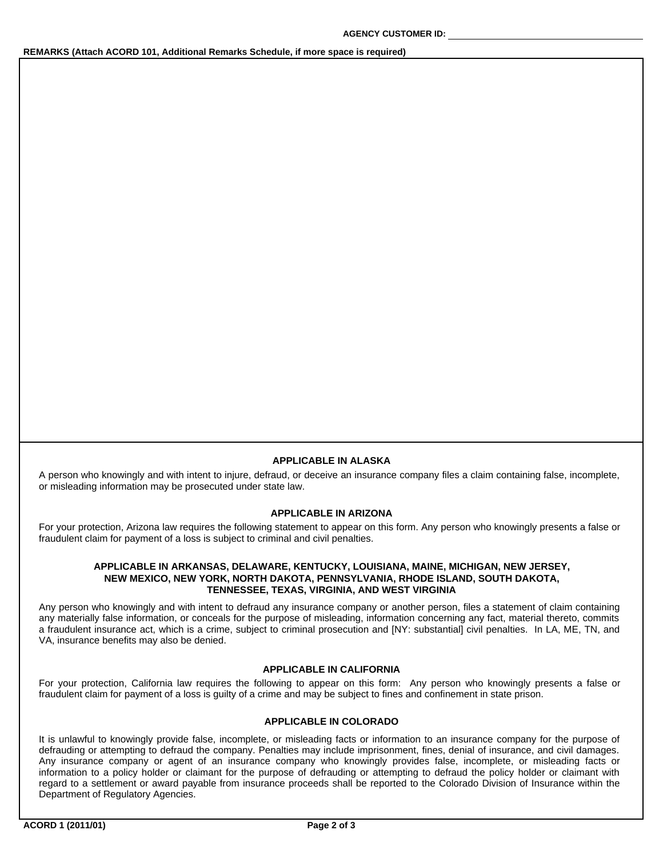## **REMARKS (Attach ACORD 101, Additional Remarks Schedule, if more space is required)**

#### **APPLICABLE IN ALASKA**

A person who knowingly and with intent to injure, defraud, or deceive an insurance company files a claim containing false, incomplete, or misleading information may be prosecuted under state law.

# **APPLICABLE IN ARIZONA**

For your protection, Arizona law requires the following statement to appear on this form. Any person who knowingly presents a false or fraudulent claim for payment of a loss is subject to criminal and civil penalties.

### **APPLICABLE IN ARKANSAS, DELAWARE, KENTUCKY, LOUISIANA, MAINE, MICHIGAN, NEW JERSEY, NEW MEXICO, NEW YORK, NORTH DAKOTA, PENNSYLVANIA, RHODE ISLAND, SOUTH DAKOTA, TENNESSEE, TEXAS, VIRGINIA, AND WEST VIRGINIA**

Any person who knowingly and with intent to defraud any insurance company or another person, files a statement of claim containing any materially false information, or conceals for the purpose of misleading, information concerning any fact, material thereto, commits a fraudulent insurance act, which is a crime, subject to criminal prosecution and [NY: substantial] civil penalties. In LA, ME, TN, and VA, insurance benefits may also be denied.

#### **APPLICABLE IN CALIFORNIA**

For your protection, California law requires the following to appear on this form: Any person who knowingly presents a false or fraudulent claim for payment of a loss is guilty of a crime and may be subject to fines and confinement in state prison.

## **APPLICABLE IN COLORADO**

It is unlawful to knowingly provide false, incomplete, or misleading facts or information to an insurance company for the purpose of defrauding or attempting to defraud the company. Penalties may include imprisonment, fines, denial of insurance, and civil damages. Any insurance company or agent of an insurance company who knowingly provides false, incomplete, or misleading facts or information to a policy holder or claimant for the purpose of defrauding or attempting to defraud the policy holder or claimant with regard to a settlement or award payable from insurance proceeds shall be reported to the Colorado Division of Insurance within the Department of Regulatory Agencies.